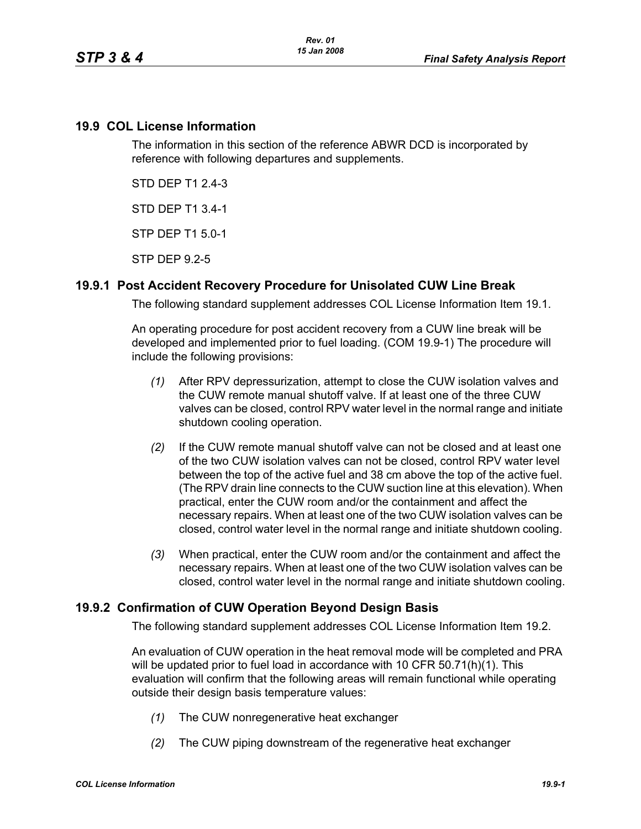## **19.9 COL License Information**

The information in this section of the reference ABWR DCD is incorporated by reference with following departures and supplements.

STD DEP T1 2.4-3

STD DEP T1 3.4-1

STP DEP T1 5.0-1

STP DEP 9.2-5

# **19.9.1 Post Accident Recovery Procedure for Unisolated CUW Line Break**

The following standard supplement addresses COL License Information Item 19.1.

An operating procedure for post accident recovery from a CUW line break will be developed and implemented prior to fuel loading. (COM 19.9-1) The procedure will include the following provisions:

- *(1)* After RPV depressurization, attempt to close the CUW isolation valves and the CUW remote manual shutoff valve. If at least one of the three CUW valves can be closed, control RPV water level in the normal range and initiate shutdown cooling operation.
- *(2)* If the CUW remote manual shutoff valve can not be closed and at least one of the two CUW isolation valves can not be closed, control RPV water level between the top of the active fuel and 38 cm above the top of the active fuel. (The RPV drain line connects to the CUW suction line at this elevation). When practical, enter the CUW room and/or the containment and affect the necessary repairs. When at least one of the two CUW isolation valves can be closed, control water level in the normal range and initiate shutdown cooling.
- *(3)* When practical, enter the CUW room and/or the containment and affect the necessary repairs. When at least one of the two CUW isolation valves can be closed, control water level in the normal range and initiate shutdown cooling.

# **19.9.2 Confirmation of CUW Operation Beyond Design Basis**

The following standard supplement addresses COL License Information Item 19.2.

An evaluation of CUW operation in the heat removal mode will be completed and PRA will be updated prior to fuel load in accordance with 10 CFR 50.71(h)(1). This evaluation will confirm that the following areas will remain functional while operating outside their design basis temperature values:

- *(1)* The CUW nonregenerative heat exchanger
- *(2)* The CUW piping downstream of the regenerative heat exchanger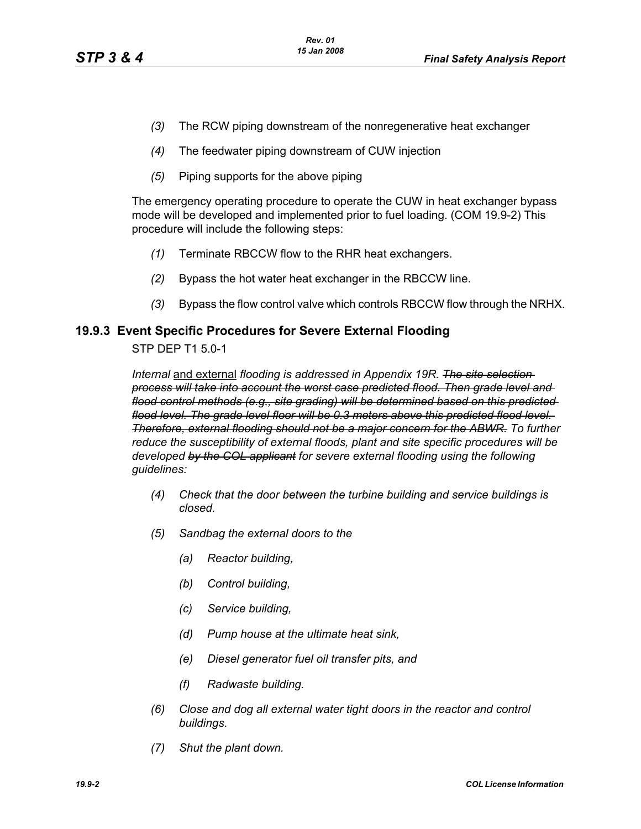- *(3)* The RCW piping downstream of the nonregenerative heat exchanger
- *(4)* The feedwater piping downstream of CUW injection
- *(5)* Piping supports for the above piping

The emergency operating procedure to operate the CUW in heat exchanger bypass mode will be developed and implemented prior to fuel loading. (COM 19.9-2) This procedure will include the following steps:

- *(1)* Terminate RBCCW flow to the RHR heat exchangers.
- *(2)* Bypass the hot water heat exchanger in the RBCCW line.
- *(3)* Bypass the flow control valve which controls RBCCW flow through the NRHX.

### **19.9.3 Event Specific Procedures for Severe External Flooding**

STP DEP T1 5.0-1

*Internal* and external *flooding is addressed in Appendix 19R. The site selection process will take into account the worst case predicted flood. Then grade level and flood control methods (e.g., site grading) will be determined based on this predicted flood level. The grade level floor will be 0.3 meters above this predicted flood level. Therefore, external flooding should not be a major concern for the ABWR. To further reduce the susceptibility of external floods, plant and site specific procedures will be developed by the COL applicant for severe external flooding using the following guidelines:* 

- *(4) Check that the door between the turbine building and service buildings is closed.*
- *(5) Sandbag the external doors to the*
	- *(a) Reactor building,*
	- *(b) Control building,*
	- *(c) Service building,*
	- *(d) Pump house at the ultimate heat sink,*
	- *(e) Diesel generator fuel oil transfer pits, and*
	- *(f) Radwaste building.*
- *(6) Close and dog all external water tight doors in the reactor and control buildings.*
- *(7) Shut the plant down.*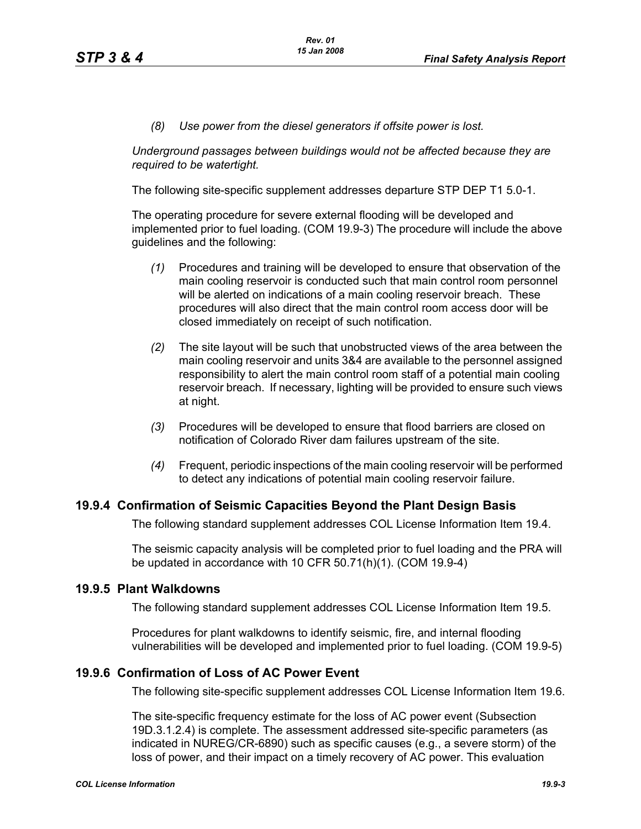*(8) Use power from the diesel generators if offsite power is lost.*

*Underground passages between buildings would not be affected because they are required to be watertight.*

The following site-specific supplement addresses departure STP DEP T1 5.0-1.

The operating procedure for severe external flooding will be developed and implemented prior to fuel loading. (COM 19.9-3) The procedure will include the above guidelines and the following:

- *(1)* Procedures and training will be developed to ensure that observation of the main cooling reservoir is conducted such that main control room personnel will be alerted on indications of a main cooling reservoir breach. These procedures will also direct that the main control room access door will be closed immediately on receipt of such notification.
- *(2)* The site layout will be such that unobstructed views of the area between the main cooling reservoir and units 3&4 are available to the personnel assigned responsibility to alert the main control room staff of a potential main cooling reservoir breach. If necessary, lighting will be provided to ensure such views at night.
- *(3)* Procedures will be developed to ensure that flood barriers are closed on notification of Colorado River dam failures upstream of the site.
- *(4)* Frequent, periodic inspections of the main cooling reservoir will be performed to detect any indications of potential main cooling reservoir failure.

#### **19.9.4 Confirmation of Seismic Capacities Beyond the Plant Design Basis**

The following standard supplement addresses COL License Information Item 19.4.

The seismic capacity analysis will be completed prior to fuel loading and the PRA will be updated in accordance with 10 CFR 50.71(h)(1). (COM 19.9-4)

#### **19.9.5 Plant Walkdowns**

The following standard supplement addresses COL License Information Item 19.5.

Procedures for plant walkdowns to identify seismic, fire, and internal flooding vulnerabilities will be developed and implemented prior to fuel loading. (COM 19.9-5)

#### **19.9.6 Confirmation of Loss of AC Power Event**

The following site-specific supplement addresses COL License Information Item 19.6.

The site-specific frequency estimate for the loss of AC power event (Subsection 19D.3.1.2.4) is complete. The assessment addressed site-specific parameters (as indicated in NUREG/CR-6890) such as specific causes (e.g., a severe storm) of the loss of power, and their impact on a timely recovery of AC power. This evaluation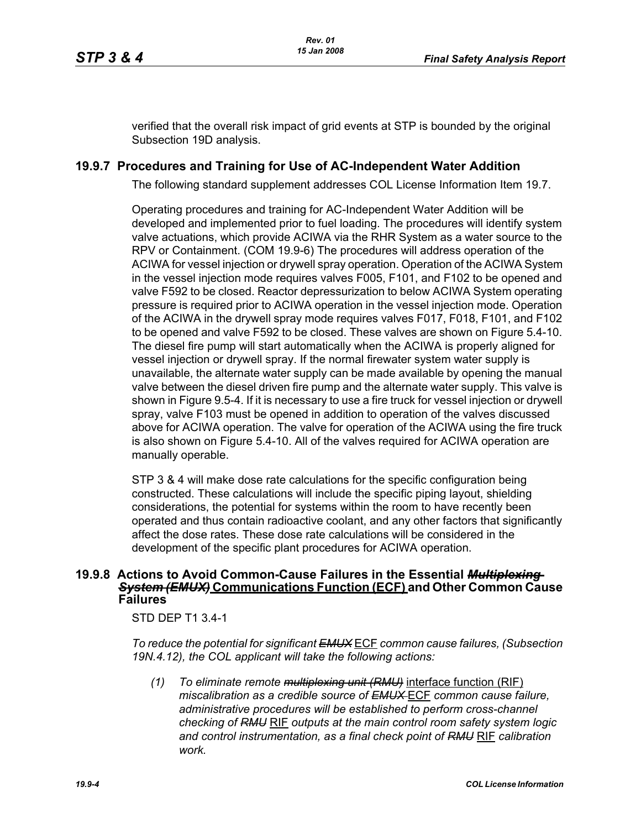verified that the overall risk impact of grid events at STP is bounded by the original Subsection 19D analysis.

## **19.9.7 Procedures and Training for Use of AC-Independent Water Addition**

The following standard supplement addresses COL License Information Item 19.7.

Operating procedures and training for AC-Independent Water Addition will be developed and implemented prior to fuel loading. The procedures will identify system valve actuations, which provide ACIWA via the RHR System as a water source to the RPV or Containment. (COM 19.9-6) The procedures will address operation of the ACIWA for vessel injection or drywell spray operation. Operation of the ACIWA System in the vessel injection mode requires valves F005, F101, and F102 to be opened and valve F592 to be closed. Reactor depressurization to below ACIWA System operating pressure is required prior to ACIWA operation in the vessel injection mode. Operation of the ACIWA in the drywell spray mode requires valves F017, F018, F101, and F102 to be opened and valve F592 to be closed. These valves are shown on Figure 5.4-10. The diesel fire pump will start automatically when the ACIWA is properly aligned for vessel injection or drywell spray. If the normal firewater system water supply is unavailable, the alternate water supply can be made available by opening the manual valve between the diesel driven fire pump and the alternate water supply. This valve is shown in Figure 9.5-4. If it is necessary to use a fire truck for vessel injection or drywell spray, valve F103 must be opened in addition to operation of the valves discussed above for ACIWA operation. The valve for operation of the ACIWA using the fire truck is also shown on Figure 5.4-10. All of the valves required for ACIWA operation are manually operable.

STP 3 & 4 will make dose rate calculations for the specific configuration being constructed. These calculations will include the specific piping layout, shielding considerations, the potential for systems within the room to have recently been operated and thus contain radioactive coolant, and any other factors that significantly affect the dose rates. These dose rate calculations will be considered in the development of the specific plant procedures for ACIWA operation.

#### **19.9.8 Actions to Avoid Common-Cause Failures in the Essential** *Multiplexing System (EMUX)* **Communications Function (ECF) and Other Common Cause Failures**

STD DEP T1 3.4-1

*To reduce the potential for significant EMUX* ECF *common cause failures, (Subsection 19N.4.12), the COL applicant will take the following actions:*

*(1) To eliminate remote multiplexing unit (RMU)* interface function (RIF) *miscalibration as a credible source of EMUX* ECF *common cause failure, administrative procedures will be established to perform cross-channel checking of RMU* RIF *outputs at the main control room safety system logic and control instrumentation, as a final check point of RMU* RIF *calibration work.*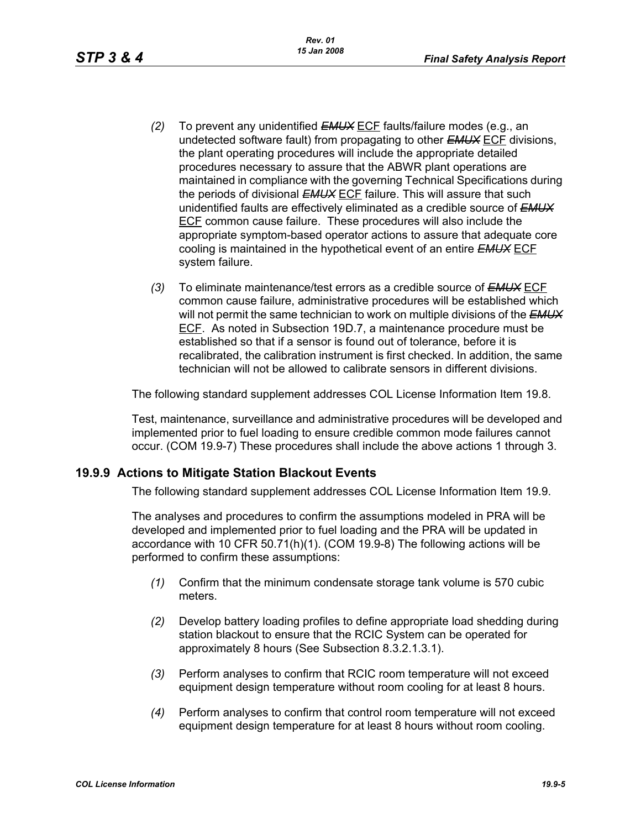- *(2)* To prevent any unidentified *EMUX* ECF faults/failure modes (e.g., an undetected software fault) from propagating to other *EMUX* ECF divisions, the plant operating procedures will include the appropriate detailed procedures necessary to assure that the ABWR plant operations are maintained in compliance with the governing Technical Specifications during the periods of divisional *EMUX* ECF failure. This will assure that such unidentified faults are effectively eliminated as a credible source of *EMUX* ECF common cause failure. These procedures will also include the appropriate symptom-based operator actions to assure that adequate core cooling is maintained in the hypothetical event of an entire *EMUX* ECF system failure.
- *(3)* To eliminate maintenance/test errors as a credible source of *EMUX* ECF common cause failure, administrative procedures will be established which will not permit the same technician to work on multiple divisions of the *EMUX* ECF. As noted in Subsection 19D.7, a maintenance procedure must be established so that if a sensor is found out of tolerance, before it is recalibrated, the calibration instrument is first checked. In addition, the same technician will not be allowed to calibrate sensors in different divisions.

The following standard supplement addresses COL License Information Item 19.8.

Test, maintenance, surveillance and administrative procedures will be developed and implemented prior to fuel loading to ensure credible common mode failures cannot occur. (COM 19.9-7) These procedures shall include the above actions 1 through 3.

### **19.9.9 Actions to Mitigate Station Blackout Events**

The following standard supplement addresses COL License Information Item 19.9.

The analyses and procedures to confirm the assumptions modeled in PRA will be developed and implemented prior to fuel loading and the PRA will be updated in accordance with 10 CFR 50.71(h)(1). (COM 19.9-8) The following actions will be performed to confirm these assumptions:

- *(1)* Confirm that the minimum condensate storage tank volume is 570 cubic meters.
- *(2)* Develop battery loading profiles to define appropriate load shedding during station blackout to ensure that the RCIC System can be operated for approximately 8 hours (See Subsection 8.3.2.1.3.1).
- *(3)* Perform analyses to confirm that RCIC room temperature will not exceed equipment design temperature without room cooling for at least 8 hours.
- *(4)* Perform analyses to confirm that control room temperature will not exceed equipment design temperature for at least 8 hours without room cooling.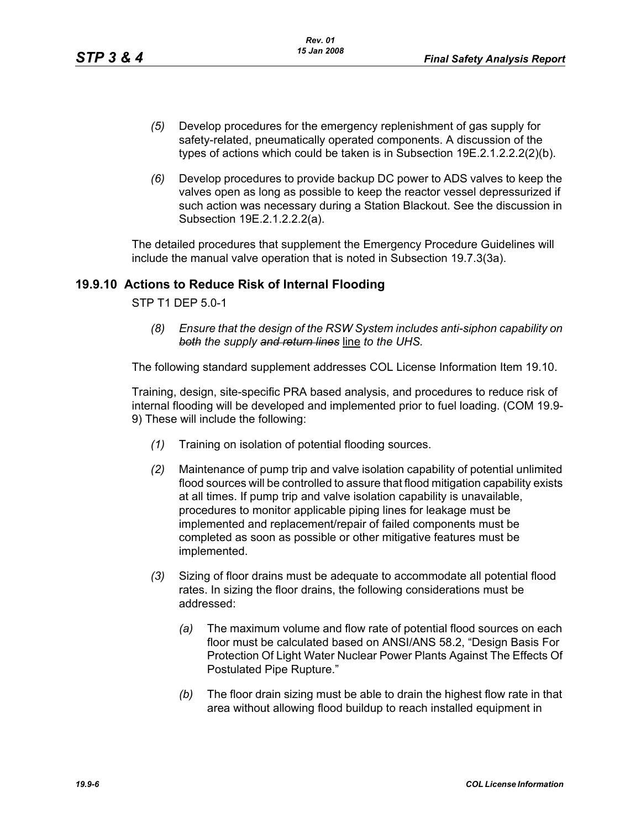- *(5)* Develop procedures for the emergency replenishment of gas supply for safety-related, pneumatically operated components. A discussion of the types of actions which could be taken is in Subsection 19E.2.1.2.2.2(2)(b).
- *(6)* Develop procedures to provide backup DC power to ADS valves to keep the valves open as long as possible to keep the reactor vessel depressurized if such action was necessary during a Station Blackout. See the discussion in Subsection 19E.2.1.2.2.2(a).

The detailed procedures that supplement the Emergency Procedure Guidelines will include the manual valve operation that is noted in Subsection 19.7.3(3a).

## **19.9.10 Actions to Reduce Risk of Internal Flooding**

STP T1 DEP 5.0-1

*(8) Ensure that the design of the RSW System includes anti-siphon capability on both the supply and return lines* line *to the UHS.*

The following standard supplement addresses COL License Information Item 19.10.

Training, design, site-specific PRA based analysis, and procedures to reduce risk of internal flooding will be developed and implemented prior to fuel loading. (COM 19.9- 9) These will include the following:

- *(1)* Training on isolation of potential flooding sources.
- *(2)* Maintenance of pump trip and valve isolation capability of potential unlimited flood sources will be controlled to assure that flood mitigation capability exists at all times. If pump trip and valve isolation capability is unavailable, procedures to monitor applicable piping lines for leakage must be implemented and replacement/repair of failed components must be completed as soon as possible or other mitigative features must be implemented.
- *(3)* Sizing of floor drains must be adequate to accommodate all potential flood rates. In sizing the floor drains, the following considerations must be addressed:
	- *(a)* The maximum volume and flow rate of potential flood sources on each floor must be calculated based on ANSI/ANS 58.2, "Design Basis For Protection Of Light Water Nuclear Power Plants Against The Effects Of Postulated Pipe Rupture."
	- *(b)* The floor drain sizing must be able to drain the highest flow rate in that area without allowing flood buildup to reach installed equipment in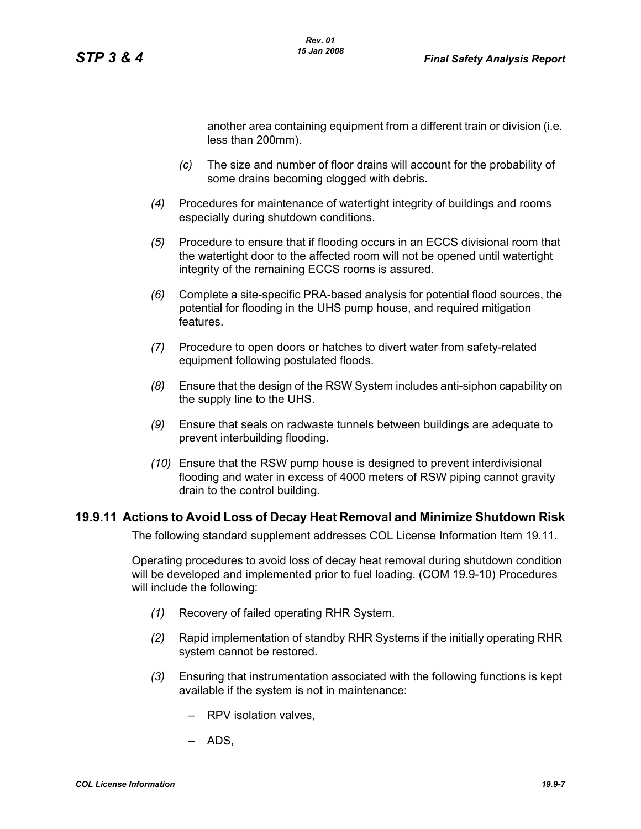another area containing equipment from a different train or division (i.e. less than 200mm).

- *(c)* The size and number of floor drains will account for the probability of some drains becoming clogged with debris.
- *(4)* Procedures for maintenance of watertight integrity of buildings and rooms especially during shutdown conditions.
- *(5)* Procedure to ensure that if flooding occurs in an ECCS divisional room that the watertight door to the affected room will not be opened until watertight integrity of the remaining ECCS rooms is assured.
- *(6)* Complete a site-specific PRA-based analysis for potential flood sources, the potential for flooding in the UHS pump house, and required mitigation features.
- *(7)* Procedure to open doors or hatches to divert water from safety-related equipment following postulated floods.
- *(8)* Ensure that the design of the RSW System includes anti-siphon capability on the supply line to the UHS.
- *(9)* Ensure that seals on radwaste tunnels between buildings are adequate to prevent interbuilding flooding.
- *(10)* Ensure that the RSW pump house is designed to prevent interdivisional flooding and water in excess of 4000 meters of RSW piping cannot gravity drain to the control building.

### **19.9.11 Actions to Avoid Loss of Decay Heat Removal and Minimize Shutdown Risk**

The following standard supplement addresses COL License Information Item 19.11.

Operating procedures to avoid loss of decay heat removal during shutdown condition will be developed and implemented prior to fuel loading. (COM 19.9-10) Procedures will include the following:

- *(1)* Recovery of failed operating RHR System.
- *(2)* Rapid implementation of standby RHR Systems if the initially operating RHR system cannot be restored.
- *(3)* Ensuring that instrumentation associated with the following functions is kept available if the system is not in maintenance:
	- RPV isolation valves,
	- ADS,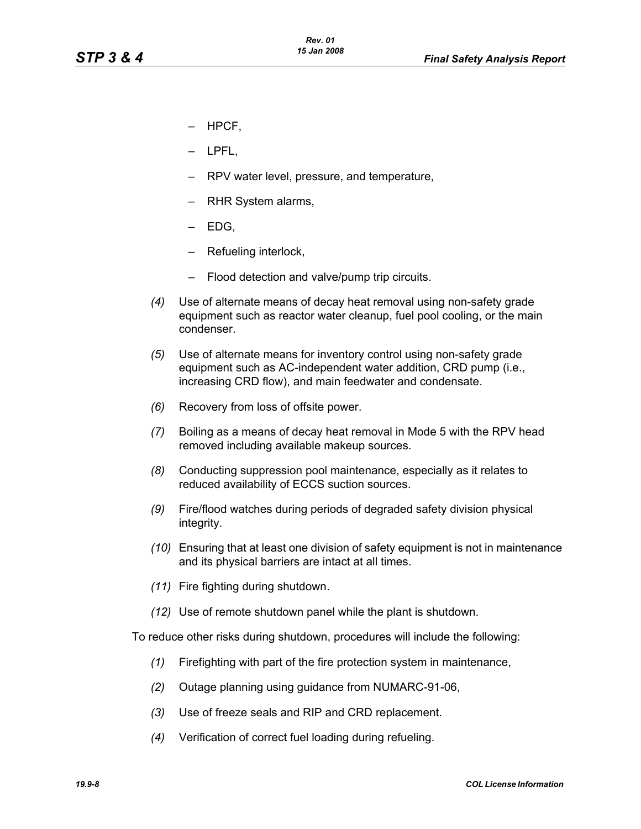- HPCF,
- LPFL,
- RPV water level, pressure, and temperature,
- RHR System alarms,
- EDG,
- Refueling interlock,
- Flood detection and valve/pump trip circuits.
- *(4)* Use of alternate means of decay heat removal using non-safety grade equipment such as reactor water cleanup, fuel pool cooling, or the main condenser.
- *(5)* Use of alternate means for inventory control using non-safety grade equipment such as AC-independent water addition, CRD pump (i.e., increasing CRD flow), and main feedwater and condensate.
- *(6)* Recovery from loss of offsite power.
- *(7)* Boiling as a means of decay heat removal in Mode 5 with the RPV head removed including available makeup sources.
- *(8)* Conducting suppression pool maintenance, especially as it relates to reduced availability of ECCS suction sources.
- *(9)* Fire/flood watches during periods of degraded safety division physical integrity.
- *(10)* Ensuring that at least one division of safety equipment is not in maintenance and its physical barriers are intact at all times.
- *(11)* Fire fighting during shutdown.
- *(12)* Use of remote shutdown panel while the plant is shutdown.

To reduce other risks during shutdown, procedures will include the following:

- *(1)* Firefighting with part of the fire protection system in maintenance,
- *(2)* Outage planning using guidance from NUMARC-91-06,
- *(3)* Use of freeze seals and RIP and CRD replacement.
- *(4)* Verification of correct fuel loading during refueling.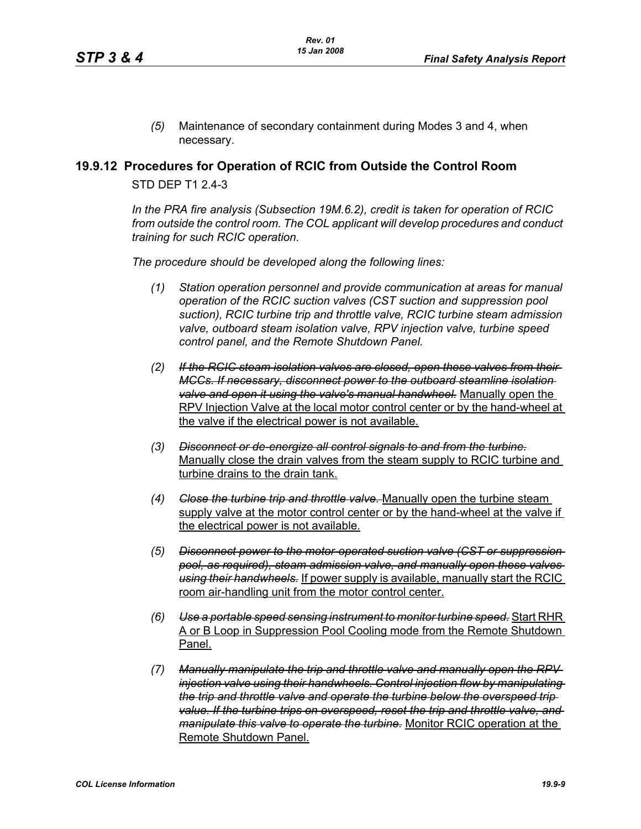*(5)* Maintenance of secondary containment during Modes 3 and 4, when necessary.

## **19.9.12 Procedures for Operation of RCIC from Outside the Control Room**

STD DFP T1 2 4-3

*In the PRA fire analysis (Subsection 19M.6.2), credit is taken for operation of RCIC from outside the control room. The COL applicant will develop procedures and conduct training for such RCIC operation.*

*The procedure should be developed along the following lines:*

- *(1) Station operation personnel and provide communication at areas for manual operation of the RCIC suction valves (CST suction and suppression pool suction), RCIC turbine trip and throttle valve, RCIC turbine steam admission valve, outboard steam isolation valve, RPV injection valve, turbine speed control panel, and the Remote Shutdown Panel.*
- *(2) If the RCIC steam isolation valves are closed, open these valves from their MCCs. If necessary, disconnect power to the outboard steamline isolation valve and open it using the valve's manual handwheel.* Manually open the RPV Injection Valve at the local motor control center or by the hand-wheel at the valve if the electrical power is not available.
- *(3) Disconnect or de-energize all control signals to and from the turbine.* Manually close the drain valves from the steam supply to RCIC turbine and turbine drains to the drain tank.
- *(4) Close the turbine trip and throttle valve.* Manually open the turbine steam supply valve at the motor control center or by the hand-wheel at the valve if the electrical power is not available.
- *(5) Disconnect power to the motor-operated suction valve (CST or suppression pool, as required), steam admission valve, and manually open these valves using their handwheels.* If power supply is available, manually start the RCIC room air-handling unit from the motor control center.
- *(6) Use a portable speed sensing instrument to monitor turbine speed.* Start RHR A or B Loop in Suppression Pool Cooling mode from the Remote Shutdown Panel.
- *(7) Manually manipulate the trip and throttle valve and manually open the RPV injection valve using their handwheels. Control injection flow by manipulating the trip and throttle valve and operate the turbine below the overspeed trip value. If the turbine trips on overspeed, reset the trip and throttle valve, and manipulate this valve to operate the turbine.* Monitor RCIC operation at the Remote Shutdown Panel.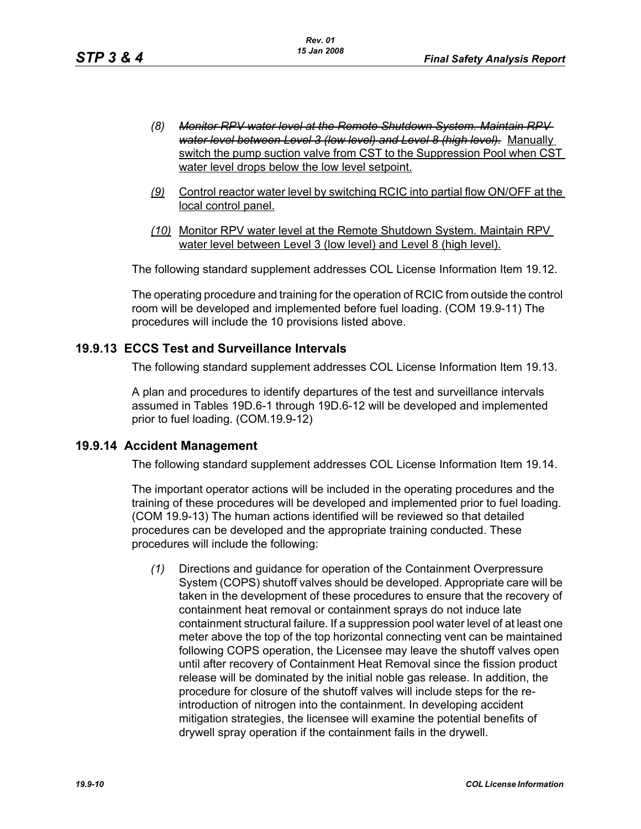- *(8) Monitor RPV water level at the Remote Shutdown System. Maintain RPV water level between Level 3 (low level) and Level 8 (high level).* Manually switch the pump suction valve from CST to the Suppression Pool when CST water level drops below the low level setpoint.
- *(9)* Control reactor water level by switching RCIC into partial flow ON/OFF at the local control panel.
- *(10)* Monitor RPV water level at the Remote Shutdown System. Maintain RPV water level between Level 3 (low level) and Level 8 (high level).

The following standard supplement addresses COL License Information Item 19.12.

The operating procedure and training for the operation of RCIC from outside the control room will be developed and implemented before fuel loading. (COM 19.9-11) The procedures will include the 10 provisions listed above.

### **19.9.13 ECCS Test and Surveillance Intervals**

The following standard supplement addresses COL License Information Item 19.13.

A plan and procedures to identify departures of the test and surveillance intervals assumed in Tables 19D.6-1 through 19D.6-12 will be developed and implemented prior to fuel loading. (COM.19.9-12)

### **19.9.14 Accident Management**

The following standard supplement addresses COL License Information Item 19.14.

The important operator actions will be included in the operating procedures and the training of these procedures will be developed and implemented prior to fuel loading. (COM 19.9-13) The human actions identified will be reviewed so that detailed procedures can be developed and the appropriate training conducted. These procedures will include the following:

*(1)* Directions and guidance for operation of the Containment Overpressure System (COPS) shutoff valves should be developed. Appropriate care will be taken in the development of these procedures to ensure that the recovery of containment heat removal or containment sprays do not induce late containment structural failure. If a suppression pool water level of at least one meter above the top of the top horizontal connecting vent can be maintained following COPS operation, the Licensee may leave the shutoff valves open until after recovery of Containment Heat Removal since the fission product release will be dominated by the initial noble gas release. In addition, the procedure for closure of the shutoff valves will include steps for the reintroduction of nitrogen into the containment. In developing accident mitigation strategies, the licensee will examine the potential benefits of drywell spray operation if the containment fails in the drywell.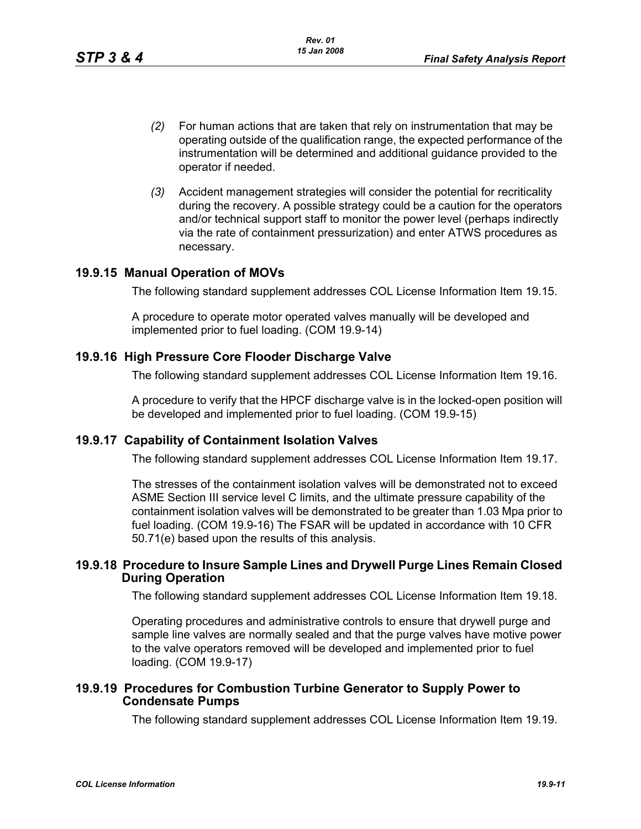- *(2)* For human actions that are taken that rely on instrumentation that may be operating outside of the qualification range, the expected performance of the instrumentation will be determined and additional guidance provided to the operator if needed.
- *(3)* Accident management strategies will consider the potential for recriticality during the recovery. A possible strategy could be a caution for the operators and/or technical support staff to monitor the power level (perhaps indirectly via the rate of containment pressurization) and enter ATWS procedures as necessary.

## **19.9.15 Manual Operation of MOVs**

The following standard supplement addresses COL License Information Item 19.15.

A procedure to operate motor operated valves manually will be developed and implemented prior to fuel loading. (COM 19.9-14)

## **19.9.16 High Pressure Core Flooder Discharge Valve**

The following standard supplement addresses COL License Information Item 19.16.

A procedure to verify that the HPCF discharge valve is in the locked-open position will be developed and implemented prior to fuel loading. (COM 19.9-15)

### **19.9.17 Capability of Containment Isolation Valves**

The following standard supplement addresses COL License Information Item 19.17.

The stresses of the containment isolation valves will be demonstrated not to exceed ASME Section III service level C limits, and the ultimate pressure capability of the containment isolation valves will be demonstrated to be greater than 1.03 Mpa prior to fuel loading. (COM 19.9-16) The FSAR will be updated in accordance with 10 CFR 50.71(e) based upon the results of this analysis.

### **19.9.18 Procedure to Insure Sample Lines and Drywell Purge Lines Remain Closed During Operation**

The following standard supplement addresses COL License Information Item 19.18.

Operating procedures and administrative controls to ensure that drywell purge and sample line valves are normally sealed and that the purge valves have motive power to the valve operators removed will be developed and implemented prior to fuel loading. (COM 19.9-17)

## **19.9.19 Procedures for Combustion Turbine Generator to Supply Power to Condensate Pumps**

The following standard supplement addresses COL License Information Item 19.19.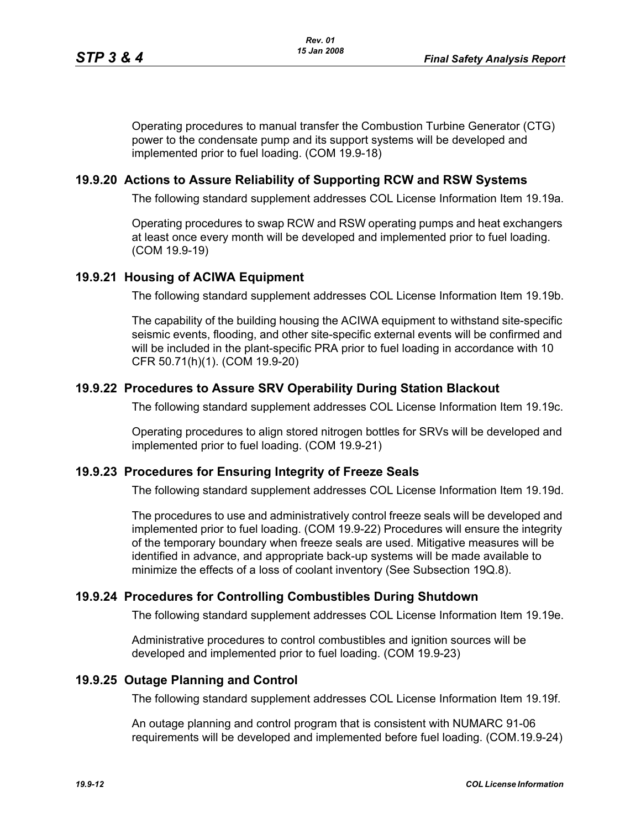Operating procedures to manual transfer the Combustion Turbine Generator (CTG) power to the condensate pump and its support systems will be developed and implemented prior to fuel loading. (COM 19.9-18)

### **19.9.20 Actions to Assure Reliability of Supporting RCW and RSW Systems**

The following standard supplement addresses COL License Information Item 19.19a.

Operating procedures to swap RCW and RSW operating pumps and heat exchangers at least once every month will be developed and implemented prior to fuel loading. (COM 19.9-19)

#### **19.9.21 Housing of ACIWA Equipment**

The following standard supplement addresses COL License Information Item 19.19b.

The capability of the building housing the ACIWA equipment to withstand site-specific seismic events, flooding, and other site-specific external events will be confirmed and will be included in the plant-specific PRA prior to fuel loading in accordance with 10 CFR 50.71(h)(1). (COM 19.9-20)

### **19.9.22 Procedures to Assure SRV Operability During Station Blackout**

The following standard supplement addresses COL License Information Item 19.19c.

Operating procedures to align stored nitrogen bottles for SRVs will be developed and implemented prior to fuel loading. (COM 19.9-21)

### **19.9.23 Procedures for Ensuring Integrity of Freeze Seals**

The following standard supplement addresses COL License Information Item 19.19d.

The procedures to use and administratively control freeze seals will be developed and implemented prior to fuel loading. (COM 19.9-22) Procedures will ensure the integrity of the temporary boundary when freeze seals are used. Mitigative measures will be identified in advance, and appropriate back-up systems will be made available to minimize the effects of a loss of coolant inventory (See Subsection 19Q.8).

### **19.9.24 Procedures for Controlling Combustibles During Shutdown**

The following standard supplement addresses COL License Information Item 19.19e.

Administrative procedures to control combustibles and ignition sources will be developed and implemented prior to fuel loading. (COM 19.9-23)

#### **19.9.25 Outage Planning and Control**

The following standard supplement addresses COL License Information Item 19.19f.

An outage planning and control program that is consistent with NUMARC 91-06 requirements will be developed and implemented before fuel loading. (COM.19.9-24)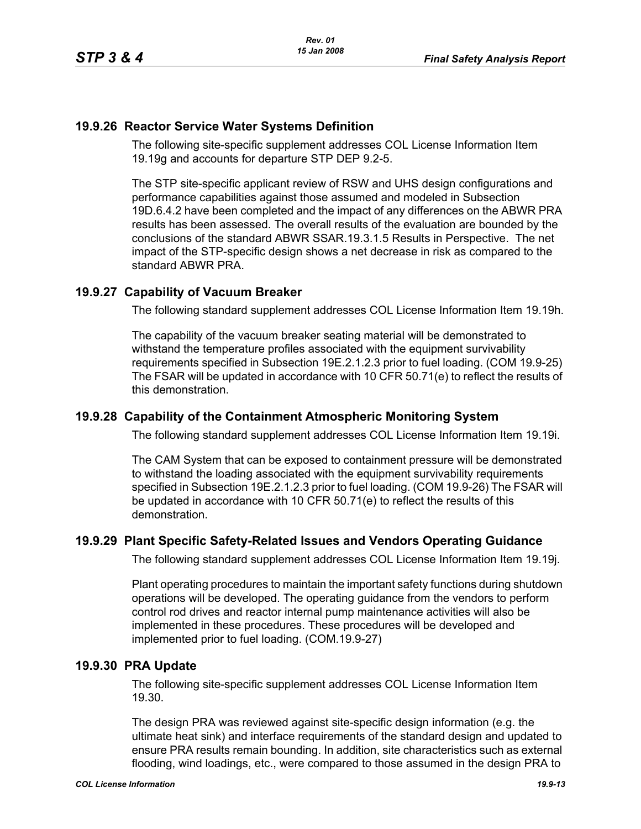## **19.9.26 Reactor Service Water Systems Definition**

The following site-specific supplement addresses COL License Information Item 19.19g and accounts for departure STP DEP 9.2-5.

The STP site-specific applicant review of RSW and UHS design configurations and performance capabilities against those assumed and modeled in Subsection 19D.6.4.2 have been completed and the impact of any differences on the ABWR PRA results has been assessed. The overall results of the evaluation are bounded by the conclusions of the standard ABWR SSAR.19.3.1.5 Results in Perspective. The net impact of the STP-specific design shows a net decrease in risk as compared to the standard ABWR PRA.

## **19.9.27 Capability of Vacuum Breaker**

The following standard supplement addresses COL License Information Item 19.19h.

The capability of the vacuum breaker seating material will be demonstrated to withstand the temperature profiles associated with the equipment survivability requirements specified in Subsection 19E.2.1.2.3 prior to fuel loading. (COM 19.9-25) The FSAR will be updated in accordance with 10 CFR 50.71(e) to reflect the results of this demonstration.

### **19.9.28 Capability of the Containment Atmospheric Monitoring System**

The following standard supplement addresses COL License Information Item 19.19i.

The CAM System that can be exposed to containment pressure will be demonstrated to withstand the loading associated with the equipment survivability requirements specified in Subsection 19E.2.1.2.3 prior to fuel loading. (COM 19.9-26) The FSAR will be updated in accordance with 10 CFR 50.71(e) to reflect the results of this demonstration.

### **19.9.29 Plant Specific Safety-Related Issues and Vendors Operating Guidance**

The following standard supplement addresses COL License Information Item 19.19j.

Plant operating procedures to maintain the important safety functions during shutdown operations will be developed. The operating guidance from the vendors to perform control rod drives and reactor internal pump maintenance activities will also be implemented in these procedures. These procedures will be developed and implemented prior to fuel loading. (COM.19.9-27)

### **19.9.30 PRA Update**

The following site-specific supplement addresses COL License Information Item 19.30.

The design PRA was reviewed against site-specific design information (e.g. the ultimate heat sink) and interface requirements of the standard design and updated to ensure PRA results remain bounding. In addition, site characteristics such as external flooding, wind loadings, etc., were compared to those assumed in the design PRA to